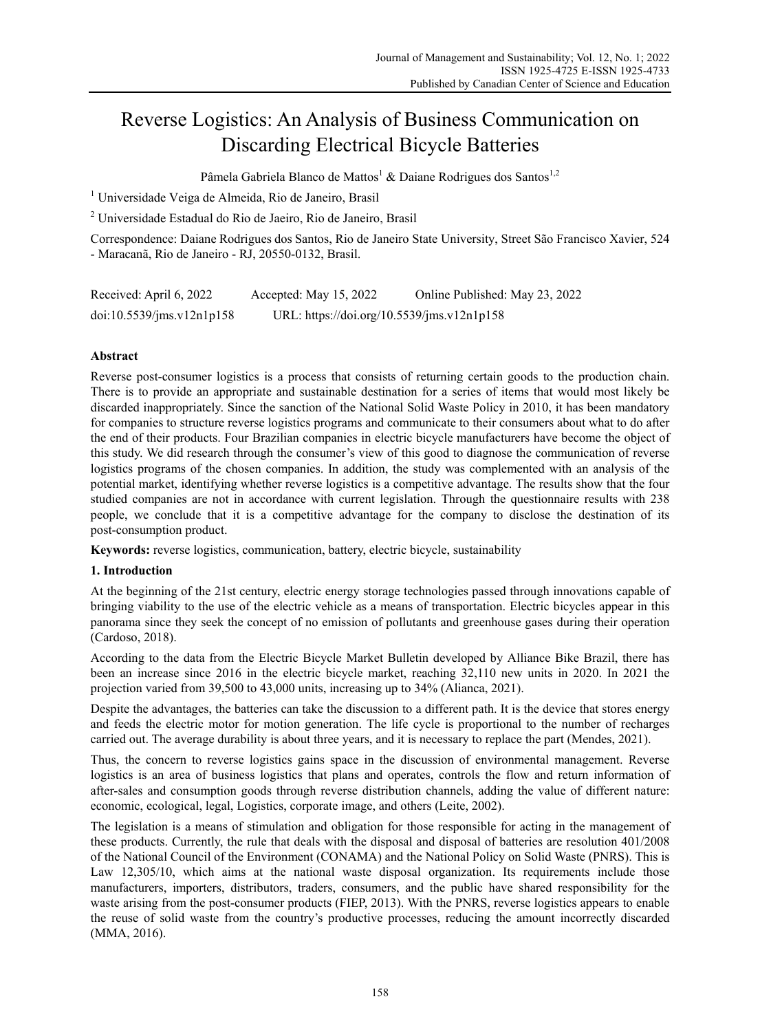# Reverse Logistics: An Analysis of Business Communication on Discarding Electrical Bicycle Batteries

Pâmela Gabriela Blanco de Mattos<sup>1</sup> & Daiane Rodrigues dos Santos<sup>1,2</sup>

<sup>1</sup> Universidade Veiga de Almeida, Rio de Janeiro, Brasil

2 Universidade Estadual do Rio de Jaeiro, Rio de Janeiro, Brasil

Correspondence: Daiane Rodrigues dos Santos, Rio de Janeiro State University, Street São Francisco Xavier, 524 - Maracanã, Rio de Janeiro - RJ, 20550-0132, Brasil.

| Received: April 6, 2022   | Accepted: May 15, 2022                     | Online Published: May 23, 2022 |
|---------------------------|--------------------------------------------|--------------------------------|
| doi:10.5539/ims.v12n1p158 | URL: https://doi.org/10.5539/jms.v12n1p158 |                                |

# **Abstract**

Reverse post-consumer logistics is a process that consists of returning certain goods to the production chain. There is to provide an appropriate and sustainable destination for a series of items that would most likely be discarded inappropriately. Since the sanction of the National Solid Waste Policy in 2010, it has been mandatory for companies to structure reverse logistics programs and communicate to their consumers about what to do after the end of their products. Four Brazilian companies in electric bicycle manufacturers have become the object of this study. We did research through the consumer's view of this good to diagnose the communication of reverse logistics programs of the chosen companies. In addition, the study was complemented with an analysis of the potential market, identifying whether reverse logistics is a competitive advantage. The results show that the four studied companies are not in accordance with current legislation. Through the questionnaire results with 238 people, we conclude that it is a competitive advantage for the company to disclose the destination of its post-consumption product.

**Keywords:** reverse logistics, communication, battery, electric bicycle, sustainability

# **1. Introduction**

At the beginning of the 21st century, electric energy storage technologies passed through innovations capable of bringing viability to the use of the electric vehicle as a means of transportation. Electric bicycles appear in this panorama since they seek the concept of no emission of pollutants and greenhouse gases during their operation (Cardoso, 2018).

According to the data from the Electric Bicycle Market Bulletin developed by Alliance Bike Brazil, there has been an increase since 2016 in the electric bicycle market, reaching 32,110 new units in 2020. In 2021 the projection varied from 39,500 to 43,000 units, increasing up to 34% (Alianca, 2021).

Despite the advantages, the batteries can take the discussion to a different path. It is the device that stores energy and feeds the electric motor for motion generation. The life cycle is proportional to the number of recharges carried out. The average durability is about three years, and it is necessary to replace the part (Mendes, 2021).

Thus, the concern to reverse logistics gains space in the discussion of environmental management. Reverse logistics is an area of business logistics that plans and operates, controls the flow and return information of after-sales and consumption goods through reverse distribution channels, adding the value of different nature: economic, ecological, legal, Logistics, corporate image, and others (Leite, 2002).

The legislation is a means of stimulation and obligation for those responsible for acting in the management of these products. Currently, the rule that deals with the disposal and disposal of batteries are resolution 401/2008 of the National Council of the Environment (CONAMA) and the National Policy on Solid Waste (PNRS). This is Law 12,305/10, which aims at the national waste disposal organization. Its requirements include those manufacturers, importers, distributors, traders, consumers, and the public have shared responsibility for the waste arising from the post-consumer products (FIEP, 2013). With the PNRS, reverse logistics appears to enable the reuse of solid waste from the country's productive processes, reducing the amount incorrectly discarded (MMA, 2016).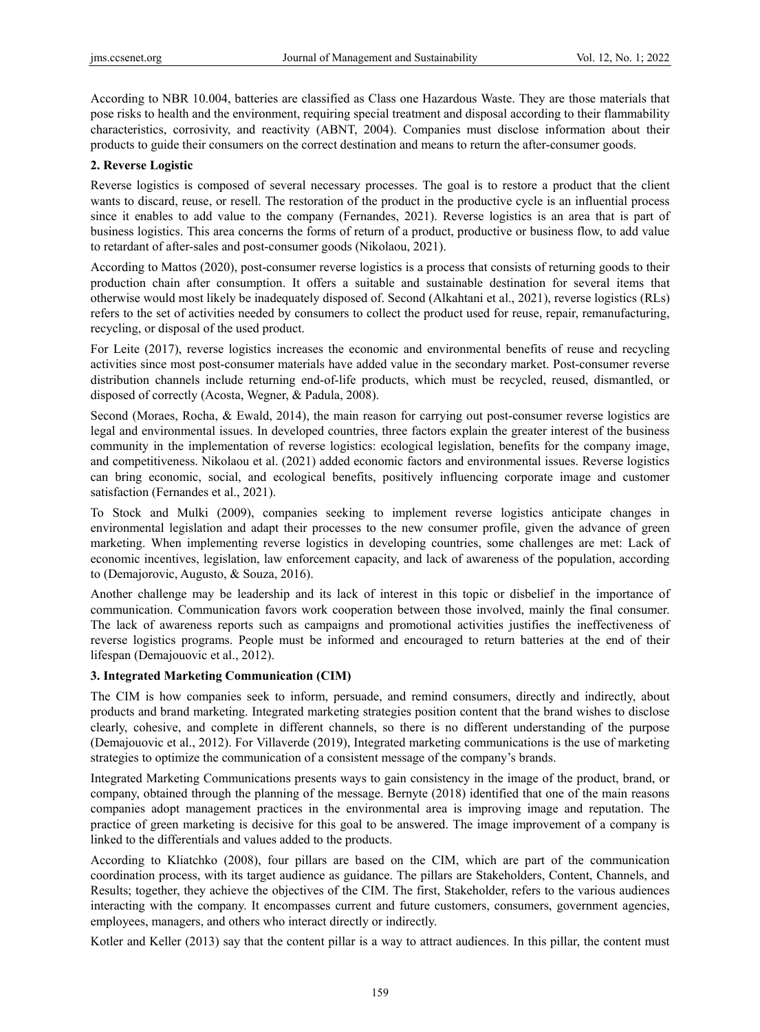According to NBR 10.004, batteries are classified as Class one Hazardous Waste. They are those materials that pose risks to health and the environment, requiring special treatment and disposal according to their flammability characteristics, corrosivity, and reactivity (ABNT, 2004). Companies must disclose information about their products to guide their consumers on the correct destination and means to return the after-consumer goods.

#### **2. Reverse Logistic**

Reverse logistics is composed of several necessary processes. The goal is to restore a product that the client wants to discard, reuse, or resell. The restoration of the product in the productive cycle is an influential process since it enables to add value to the company (Fernandes, 2021). Reverse logistics is an area that is part of business logistics. This area concerns the forms of return of a product, productive or business flow, to add value to retardant of after-sales and post-consumer goods (Nikolaou, 2021).

According to Mattos (2020), post-consumer reverse logistics is a process that consists of returning goods to their production chain after consumption. It offers a suitable and sustainable destination for several items that otherwise would most likely be inadequately disposed of. Second (Alkahtani et al., 2021), reverse logistics (RLs) refers to the set of activities needed by consumers to collect the product used for reuse, repair, remanufacturing, recycling, or disposal of the used product.

For Leite (2017), reverse logistics increases the economic and environmental benefits of reuse and recycling activities since most post-consumer materials have added value in the secondary market. Post-consumer reverse distribution channels include returning end-of-life products, which must be recycled, reused, dismantled, or disposed of correctly (Acosta, Wegner, & Padula, 2008).

Second (Moraes, Rocha, & Ewald, 2014), the main reason for carrying out post-consumer reverse logistics are legal and environmental issues. In developed countries, three factors explain the greater interest of the business community in the implementation of reverse logistics: ecological legislation, benefits for the company image, and competitiveness. Nikolaou et al. (2021) added economic factors and environmental issues. Reverse logistics can bring economic, social, and ecological benefits, positively influencing corporate image and customer satisfaction (Fernandes et al., 2021).

To Stock and Mulki (2009), companies seeking to implement reverse logistics anticipate changes in environmental legislation and adapt their processes to the new consumer profile, given the advance of green marketing. When implementing reverse logistics in developing countries, some challenges are met: Lack of economic incentives, legislation, law enforcement capacity, and lack of awareness of the population, according to (Demajorovic, Augusto, & Souza, 2016).

Another challenge may be leadership and its lack of interest in this topic or disbelief in the importance of communication. Communication favors work cooperation between those involved, mainly the final consumer. The lack of awareness reports such as campaigns and promotional activities justifies the ineffectiveness of reverse logistics programs. People must be informed and encouraged to return batteries at the end of their lifespan (Demajouovic et al., 2012).

## **3. Integrated Marketing Communication (CIM)**

The CIM is how companies seek to inform, persuade, and remind consumers, directly and indirectly, about products and brand marketing. Integrated marketing strategies position content that the brand wishes to disclose clearly, cohesive, and complete in different channels, so there is no different understanding of the purpose (Demajouovic et al., 2012). For Villaverde (2019), Integrated marketing communications is the use of marketing strategies to optimize the communication of a consistent message of the company's brands.

Integrated Marketing Communications presents ways to gain consistency in the image of the product, brand, or company, obtained through the planning of the message. Bernyte (2018) identified that one of the main reasons companies adopt management practices in the environmental area is improving image and reputation. The practice of green marketing is decisive for this goal to be answered. The image improvement of a company is linked to the differentials and values added to the products.

According to Kliatchko (2008), four pillars are based on the CIM, which are part of the communication coordination process, with its target audience as guidance. The pillars are Stakeholders, Content, Channels, and Results; together, they achieve the objectives of the CIM. The first, Stakeholder, refers to the various audiences interacting with the company. It encompasses current and future customers, consumers, government agencies, employees, managers, and others who interact directly or indirectly.

Kotler and Keller (2013) say that the content pillar is a way to attract audiences. In this pillar, the content must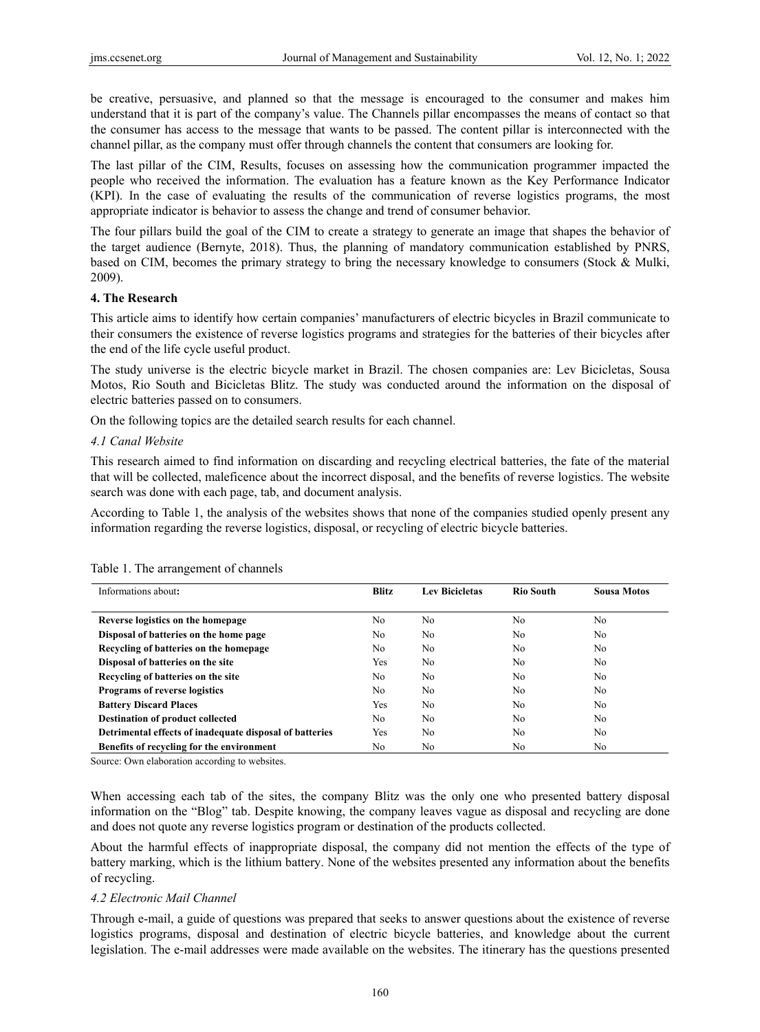be creative, persuasive, and planned so that the message is encouraged to the consumer and makes him understand that it is part of the company's value. The Channels pillar encompasses the means of contact so that the consumer has access to the message that wants to be passed. The content pillar is interconnected with the channel pillar, as the company must offer through channels the content that consumers are looking for.

The last pillar of the CIM, Results, focuses on assessing how the communication programmer impacted the people who received the information. The evaluation has a feature known as the Key Performance Indicator (KPI). In the case of evaluating the results of the communication of reverse logistics programs, the most appropriate indicator is behavior to assess the change and trend of consumer behavior.

The four pillars build the goal of the CIM to create a strategy to generate an image that shapes the behavior of the target audience (Bernyte, 2018). Thus, the planning of mandatory communication established by PNRS, based on CIM, becomes the primary strategy to bring the necessary knowledge to consumers (Stock & Mulki, 2009).

#### **4. The Research**

This article aims to identify how certain companies' manufacturers of electric bicycles in Brazil communicate to their consumers the existence of reverse logistics programs and strategies for the batteries of their bicycles after the end of the life cycle useful product.

The study universe is the electric bicycle market in Brazil. The chosen companies are: Lev Bicicletas, Sousa Motos, Rio South and Bicicletas Blitz. The study was conducted around the information on the disposal of electric batteries passed on to consumers.

On the following topics are the detailed search results for each channel.

#### *4.1 Canal Website*

This research aimed to find information on discarding and recycling electrical batteries, the fate of the material that will be collected, maleficence about the incorrect disposal, and the benefits of reverse logistics. The website search was done with each page, tab, and document analysis.

According to Table 1, the analysis of the websites shows that none of the companies studied openly present any information regarding the reverse logistics, disposal, or recycling of electric bicycle batteries.

| Informations about:                                     | <b>Blitz</b> | <b>Lev Bicicletas</b> | <b>Rio South</b> | <b>Sousa Motos</b> |
|---------------------------------------------------------|--------------|-----------------------|------------------|--------------------|
| Reverse logistics on the homepage                       | No           | N <sub>0</sub>        | N <sub>0</sub>   | No                 |
| Disposal of batteries on the home page                  | No.          | N <sub>0</sub>        | N <sub>0</sub>   | No                 |
| Recycling of batteries on the homepage                  | No.          | N <sub>0</sub>        | No.              | No                 |
| Disposal of batteries on the site                       | Yes          | No                    | No.              | No                 |
| Recycling of batteries on the site                      | No           | N <sub>0</sub>        | N <sub>0</sub>   | No                 |
| <b>Programs of reverse logistics</b>                    | No           | N <sub>0</sub>        | N <sub>0</sub>   | No                 |
| <b>Battery Discard Places</b>                           | Yes          | No                    | No.              | No                 |
| <b>Destination of product collected</b>                 | No           | No                    | No.              | No                 |
| Detrimental effects of inadequate disposal of batteries | Yes          | No                    | N <sub>0</sub>   | No                 |
| Benefits of recycling for the environment               | No           | No                    | No               | No                 |

Table 1. The arrangement of channels

Source: Own elaboration according to websites.

When accessing each tab of the sites, the company Blitz was the only one who presented battery disposal information on the "Blog" tab. Despite knowing, the company leaves vague as disposal and recycling are done and does not quote any reverse logistics program or destination of the products collected.

About the harmful effects of inappropriate disposal, the company did not mention the effects of the type of battery marking, which is the lithium battery. None of the websites presented any information about the benefits of recycling.

#### *4.2 Electronic Mail Channel*

Through e-mail, a guide of questions was prepared that seeks to answer questions about the existence of reverse logistics programs, disposal and destination of electric bicycle batteries, and knowledge about the current legislation. The e-mail addresses were made available on the websites. The itinerary has the questions presented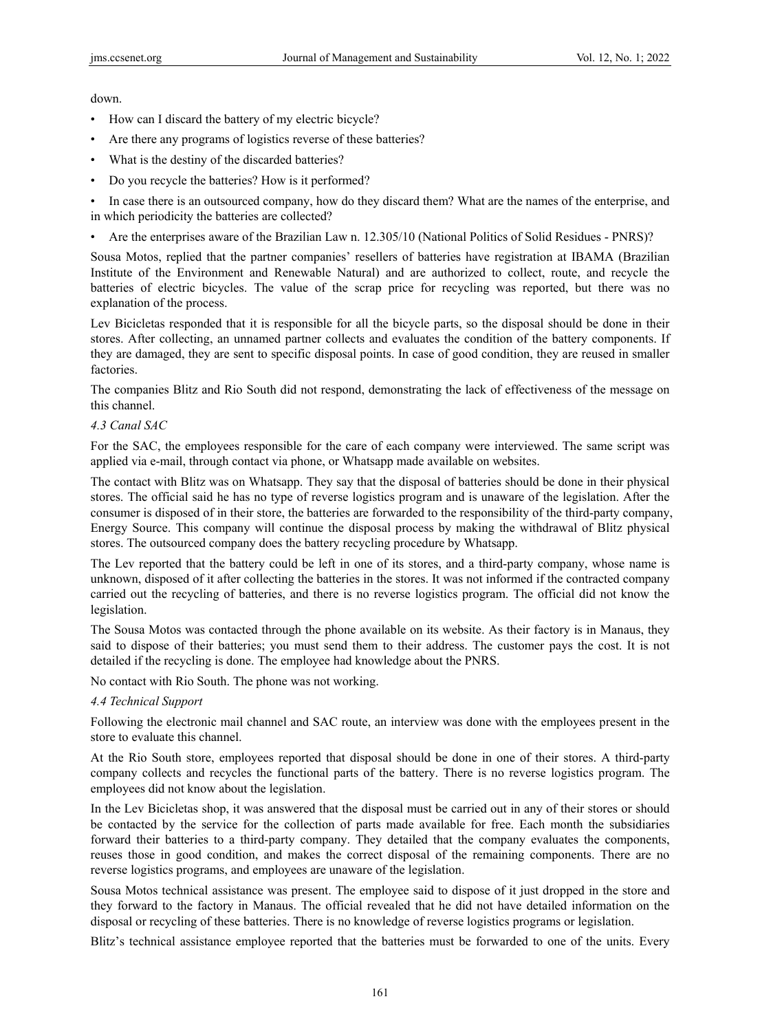down.

- How can I discard the battery of my electric bicycle?
- Are there any programs of logistics reverse of these batteries?
- What is the destiny of the discarded batteries?
- Do you recycle the batteries? How is it performed?

• In case there is an outsourced company, how do they discard them? What are the names of the enterprise, and in which periodicity the batteries are collected?

• Are the enterprises aware of the Brazilian Law n. 12.305/10 (National Politics of Solid Residues - PNRS)?

Sousa Motos, replied that the partner companies' resellers of batteries have registration at IBAMA (Brazilian Institute of the Environment and Renewable Natural) and are authorized to collect, route, and recycle the batteries of electric bicycles. The value of the scrap price for recycling was reported, but there was no explanation of the process.

Lev Bicicletas responded that it is responsible for all the bicycle parts, so the disposal should be done in their stores. After collecting, an unnamed partner collects and evaluates the condition of the battery components. If they are damaged, they are sent to specific disposal points. In case of good condition, they are reused in smaller factories.

The companies Blitz and Rio South did not respond, demonstrating the lack of effectiveness of the message on this channel.

## *4.3 Canal SAC*

For the SAC, the employees responsible for the care of each company were interviewed. The same script was applied via e-mail, through contact via phone, or Whatsapp made available on websites.

The contact with Blitz was on Whatsapp. They say that the disposal of batteries should be done in their physical stores. The official said he has no type of reverse logistics program and is unaware of the legislation. After the consumer is disposed of in their store, the batteries are forwarded to the responsibility of the third-party company, Energy Source. This company will continue the disposal process by making the withdrawal of Blitz physical stores. The outsourced company does the battery recycling procedure by Whatsapp.

The Lev reported that the battery could be left in one of its stores, and a third-party company, whose name is unknown, disposed of it after collecting the batteries in the stores. It was not informed if the contracted company carried out the recycling of batteries, and there is no reverse logistics program. The official did not know the legislation.

The Sousa Motos was contacted through the phone available on its website. As their factory is in Manaus, they said to dispose of their batteries; you must send them to their address. The customer pays the cost. It is not detailed if the recycling is done. The employee had knowledge about the PNRS.

No contact with Rio South. The phone was not working.

#### *4.4 Technical Support*

Following the electronic mail channel and SAC route, an interview was done with the employees present in the store to evaluate this channel.

At the Rio South store, employees reported that disposal should be done in one of their stores. A third-party company collects and recycles the functional parts of the battery. There is no reverse logistics program. The employees did not know about the legislation.

In the Lev Bicicletas shop, it was answered that the disposal must be carried out in any of their stores or should be contacted by the service for the collection of parts made available for free. Each month the subsidiaries forward their batteries to a third-party company. They detailed that the company evaluates the components, reuses those in good condition, and makes the correct disposal of the remaining components. There are no reverse logistics programs, and employees are unaware of the legislation.

Sousa Motos technical assistance was present. The employee said to dispose of it just dropped in the store and they forward to the factory in Manaus. The official revealed that he did not have detailed information on the disposal or recycling of these batteries. There is no knowledge of reverse logistics programs or legislation.

Blitz's technical assistance employee reported that the batteries must be forwarded to one of the units. Every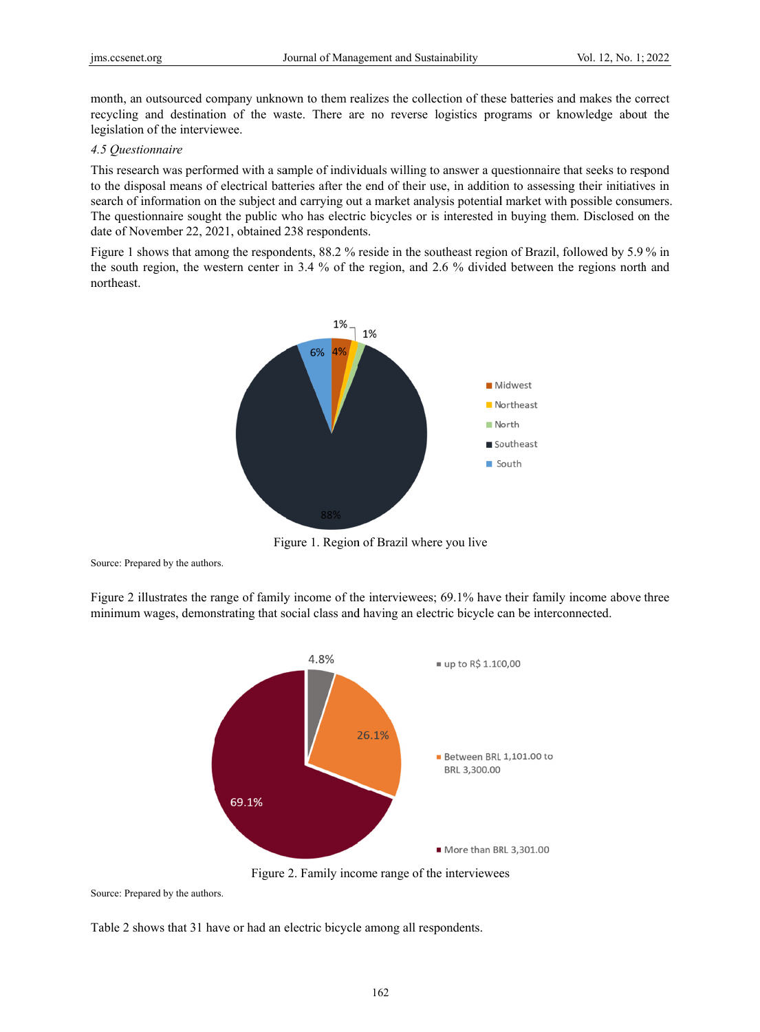month, an outsourced company unknown to them realizes the collection of these batteries and makes the correct recycling and destination of the waste. There are no reverse logistics programs or knowledge about the legislation of the interviewee.

## 4.5 Ouestionnaire

This research was performed with a sample of individuals willing to answer a questionnaire that seeks to respond to the disposal means of electrical batteries after the end of their use, in addition to assessing their initiatives in search of information on the subject and carrying out a market analysis potential market with possible consumers. The questionnaire sought the public who has electric bicycles or is interested in buying them. Disclosed on the date of November 22, 2021, obtained 238 respondents.

Figure 1 shows that among the respondents, 88.2 % reside in the southeast region of Brazil, followed by 5.9 % in the south region, the western center in 3.4 % of the region, and 2.6 % divided between the regions north and northeast.



Figure 1. Region of Brazil where you live

Source: Prepared by the authors.

Figure 2 illustrates the range of family income of the interviewees; 69.1% have their family income above three minimum wages, demonstrating that social class and having an electric bicycle can be interconnected.



Figure 2. Family income range of the interviewees

Source: Prepared by the authors.

Table 2 shows that 31 have or had an electric bicycle among all respondents.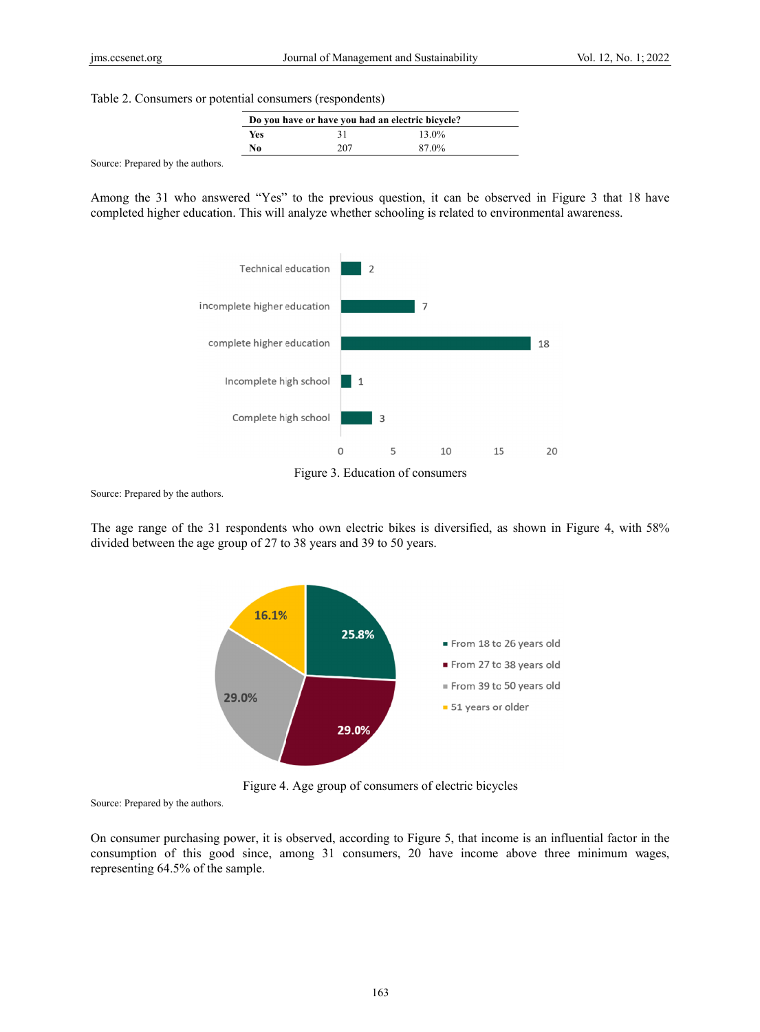Table 2. Consumers or potential consumers (respondents)

| Do you have or have you had an electric bicycle? |     |          |  |
|--------------------------------------------------|-----|----------|--|
| Yes                                              | 31  | $13.0\%$ |  |
| No                                               | 207 | 87.0%    |  |

Source: Prepared by the authors.

Among the 31 who answered "Yes" to the previous question, it can be observed in Figure 3 that 18 have completed higher education. This will analyze whether schooling is related to environmental awareness.





Source: Prepared by the authors.

The age range of the 31 respondents who own electric bikes is diversified, as shown in Figure 4, with 58% divided between the age group of 27 to 38 years and 39 to 50 years.



Figure 4. Age group of consumers of electric bicycles

Source: Prepared by the authors.

On consumer purchasing power, it is observed, according to Figure 5, that income is an influential factor in the consumption of this good since, among 31 consumers, 20 have income above three minimum wages, representing 64.5% of the sample.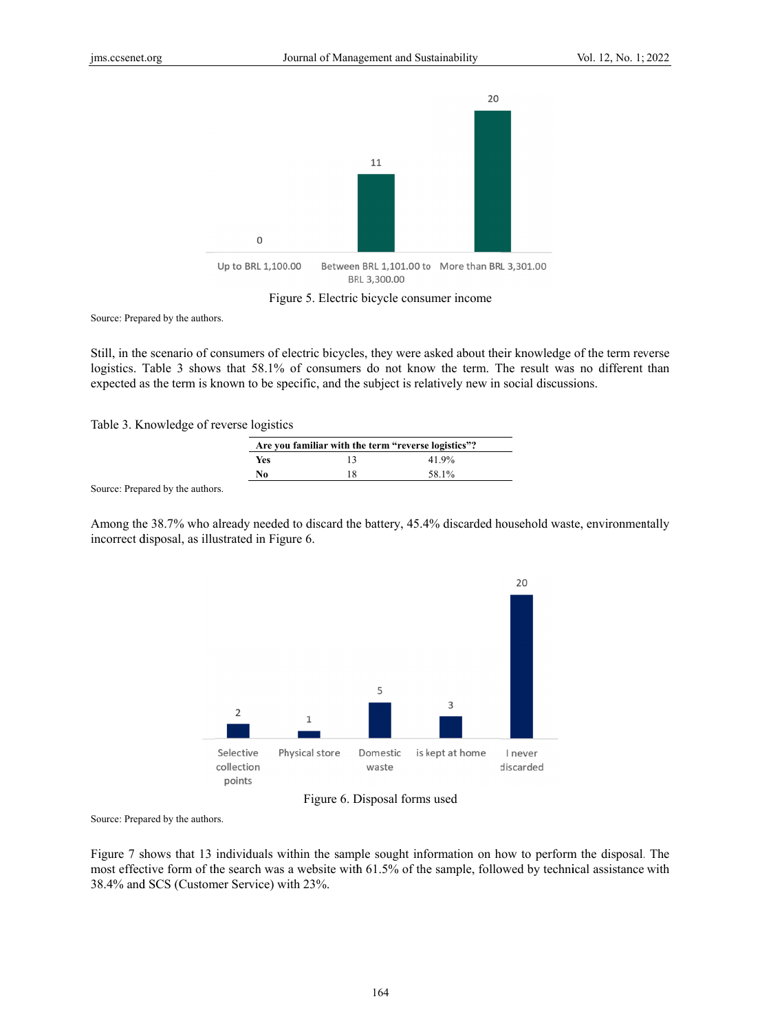

Figure 5. Electric bicycle consumer income

Source: Prepared by the authors.

Still, in the scenario of consumers of electric bicycles, they were asked about their knowledge of the term reverse logistics. Table 3 shows that 58.1% of consumers do not know the term. The result was no different than expected as the term is known to be specific, and the subject is relatively new in social discussions.

Table 3. Knowledge of reverse logistics

| Are you familiar with the term "reverse logistics"? |    |       |
|-----------------------------------------------------|----|-------|
| Yes                                                 | 13 | 41.9% |
| No                                                  | 18 | 58.1% |
|                                                     |    |       |

Source: Prepared by the authors.

Among the 38.7% who already needed to discard the battery, 45.4% discarded household waste, environmentally incorrect disposal, as illustrated in Figure 6.





Source: Prepared by the authors.

Figure 7 shows that 13 individuals within the sample sought information on how to perform the disposal. The most effective form of the search was a website with 61.5% of the sample, followed by technical assistance with 38.4% and SCS (Customer Service) with 23%.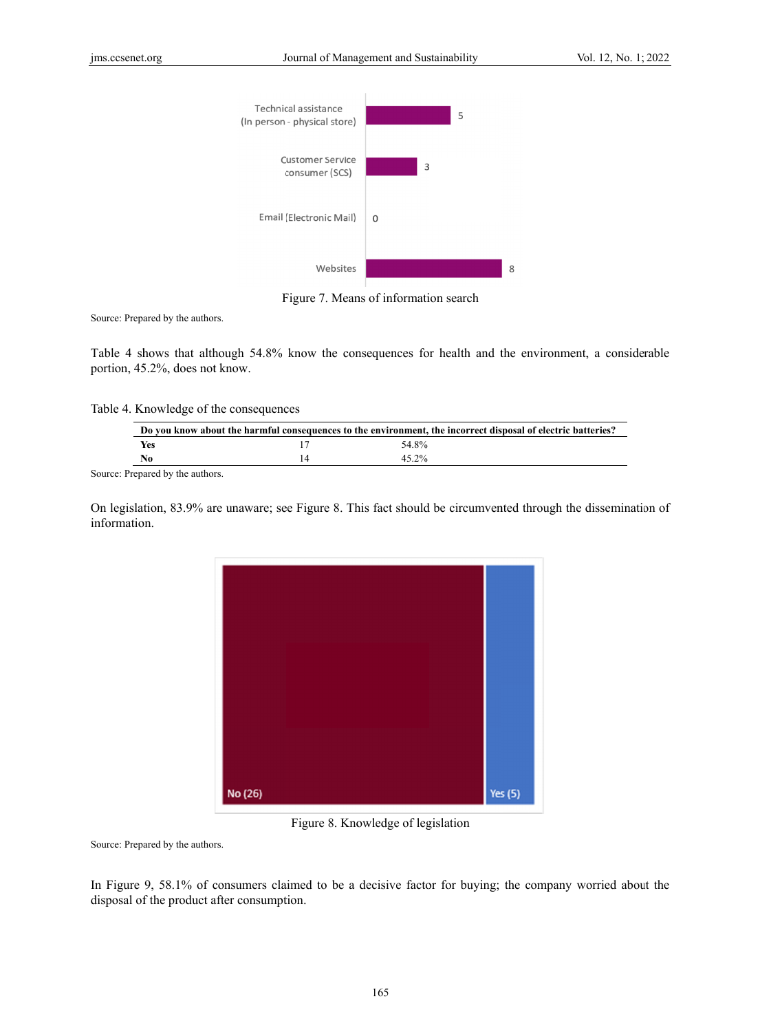

Figure 7. Means of information search

Source: Prepared by the authors.

Table 4 shows that although 54.8% know the consequences for health and the environment, a considerable portion, 45.2%, does not know.

Table 4. Knowledge of the consequences

| Do you know about the harmful consequences to the environment, the incorrect disposal of electric batteries? |  |       |  |
|--------------------------------------------------------------------------------------------------------------|--|-------|--|
| Yes                                                                                                          |  | 54.8% |  |
| No                                                                                                           |  | 45 2% |  |
|                                                                                                              |  |       |  |

Source: Prepared by the authors.

On legislation, 83.9% are unaware; see Figure 8. This fact should be circumvented through the dissemination of information.



Figure 8. Knowledge of legislation

Source: Prepared by the authors.

In Figure 9, 58.1% of consumers claimed to be a decisive factor for buying; the company worried about the disposal of the product after consumption.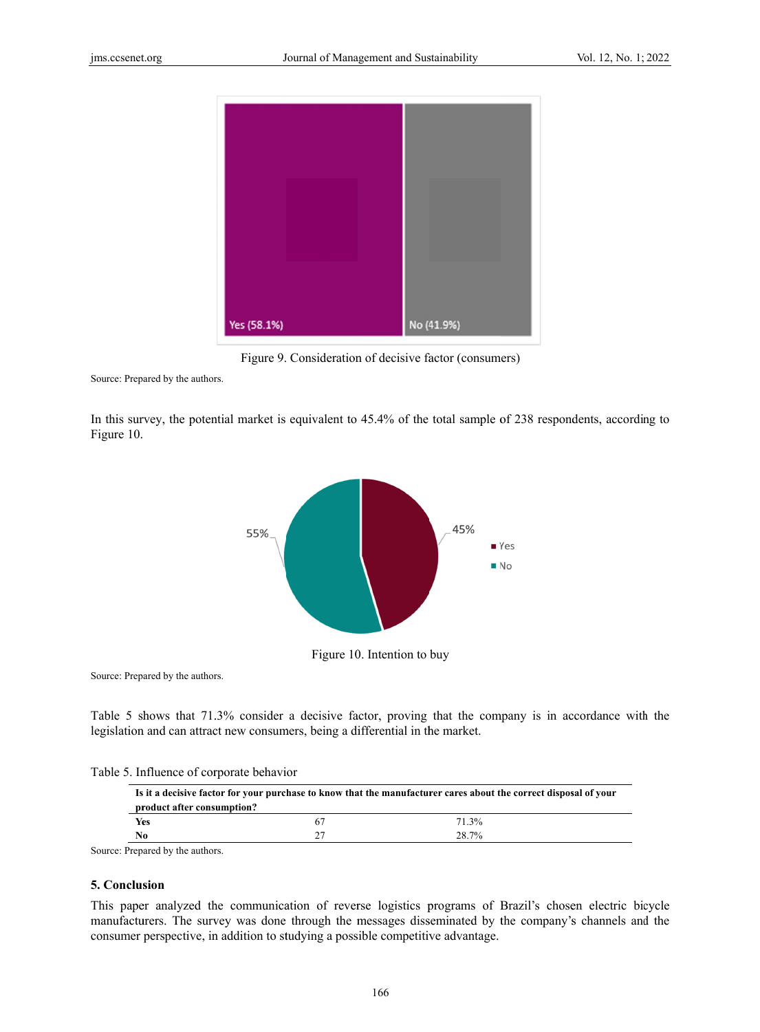

Figure 9. Consideration of decisive factor (consumers)

Source: Prepared by the authors.

In this survey, the potential market is equivalent to 45.4% of the total sample of 238 respondents, according to Figure 10.



Source: Prepared by the authors.

Table 5 shows that 71.3% consider a decisive factor, proving that the company is in accordance with the legislation and can attract new consumers, being a differential in the market.

Table 5. Influence of corporate behavior

| Is it a decisive factor for your purchase to know that the manufacturer cares about the correct disposal of your<br>product after consumption? |    |       |  |
|------------------------------------------------------------------------------------------------------------------------------------------------|----|-------|--|
| Yes                                                                                                                                            | 67 | 71.3% |  |
| N <sub>0</sub>                                                                                                                                 |    | 28.7% |  |

Source: Prepared by the authors.

## 5. Conclusion

This paper analyzed the communication of reverse logistics programs of Brazil's chosen electric bicycle manufacturers. The survey was done through the messages disseminated by the company's channels and the consumer perspective, in addition to studying a possible competitive advantage.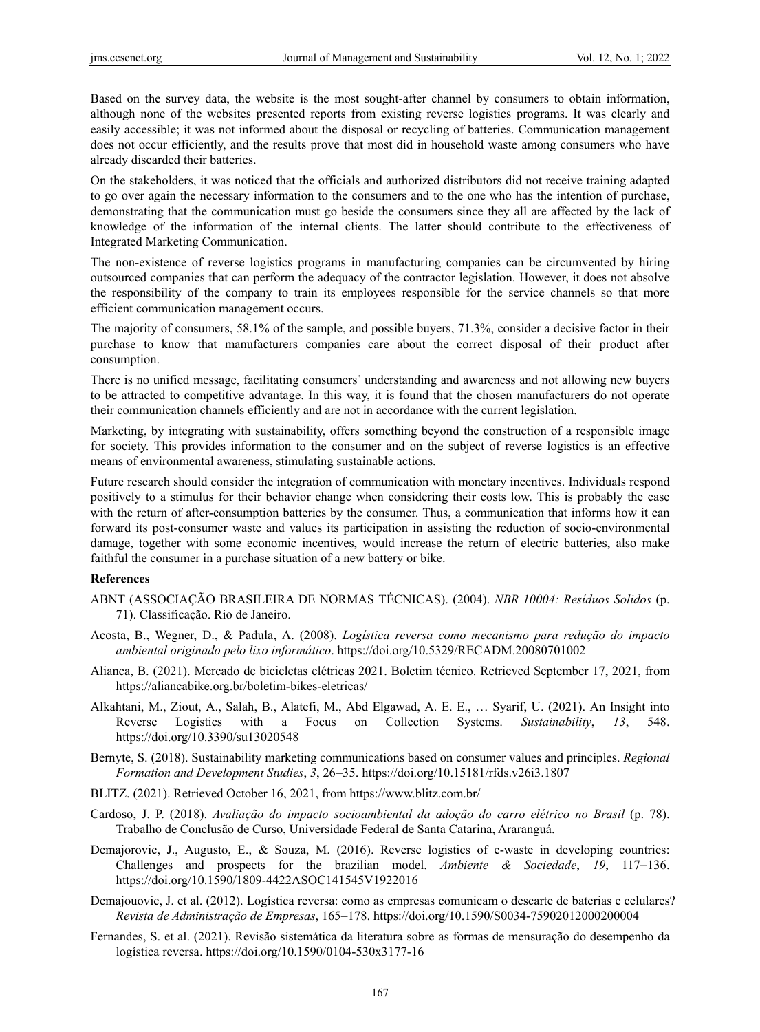Based on the survey data, the website is the most sought-after channel by consumers to obtain information, although none of the websites presented reports from existing reverse logistics programs. It was clearly and easily accessible; it was not informed about the disposal or recycling of batteries. Communication management does not occur efficiently, and the results prove that most did in household waste among consumers who have already discarded their batteries.

On the stakeholders, it was noticed that the officials and authorized distributors did not receive training adapted to go over again the necessary information to the consumers and to the one who has the intention of purchase, demonstrating that the communication must go beside the consumers since they all are affected by the lack of knowledge of the information of the internal clients. The latter should contribute to the effectiveness of Integrated Marketing Communication.

The non-existence of reverse logistics programs in manufacturing companies can be circumvented by hiring outsourced companies that can perform the adequacy of the contractor legislation. However, it does not absolve the responsibility of the company to train its employees responsible for the service channels so that more efficient communication management occurs.

The majority of consumers, 58.1% of the sample, and possible buyers, 71.3%, consider a decisive factor in their purchase to know that manufacturers companies care about the correct disposal of their product after consumption.

There is no unified message, facilitating consumers' understanding and awareness and not allowing new buyers to be attracted to competitive advantage. In this way, it is found that the chosen manufacturers do not operate their communication channels efficiently and are not in accordance with the current legislation.

Marketing, by integrating with sustainability, offers something beyond the construction of a responsible image for society. This provides information to the consumer and on the subject of reverse logistics is an effective means of environmental awareness, stimulating sustainable actions.

Future research should consider the integration of communication with monetary incentives. Individuals respond positively to a stimulus for their behavior change when considering their costs low. This is probably the case with the return of after-consumption batteries by the consumer. Thus, a communication that informs how it can forward its post-consumer waste and values its participation in assisting the reduction of socio-environmental damage, together with some economic incentives, would increase the return of electric batteries, also make faithful the consumer in a purchase situation of a new battery or bike.

#### **References**

- ABNT (ASSOCIAÇÃO BRASILEIRA DE NORMAS TÉCNICAS). (2004). *NBR 10004: Resíduos Solidos* (p. 71). Classificação. Rio de Janeiro.
- Acosta, B., Wegner, D., & Padula, A. (2008). *Logística reversa como mecanismo para redução do impacto ambiental originado pelo lixo informático*. https://doi.org/10.5329/RECADM.20080701002
- Alianca, B. (2021). Mercado de bicicletas elétricas 2021. Boletim técnico. Retrieved September 17, 2021, from https://aliancabike.org.br/boletim-bikes-eletricas/
- Alkahtani, M., Ziout, A., Salah, B., Alatefi, M., Abd Elgawad, A. E. E., … Syarif, U. (2021). An Insight into Reverse Logistics with a Focus on Collection Systems. *Sustainability*, *13*, 548. https://doi.org/10.3390/su13020548
- Bernyte, S. (2018). Sustainability marketing communications based on consumer values and principles. *Regional Formation and Development Studies*, *3*, 26−35. https://doi.org/10.15181/rfds.v26i3.1807
- BLITZ. (2021). Retrieved October 16, 2021, from https://www.blitz.com.br/
- Cardoso, J. P. (2018). *Avaliação do impacto socioambiental da adoção do carro elétrico no Brasil* (p. 78). Trabalho de Conclusão de Curso, Universidade Federal de Santa Catarina, Araranguá.
- Demajorovic, J., Augusto, E., & Souza, M. (2016). Reverse logistics of e-waste in developing countries: Challenges and prospects for the brazilian model. *Ambiente & Sociedade*, *19*, 117−136. https://doi.org/10.1590/1809-4422ASOC141545V1922016
- Demajouovic, J. et al. (2012). Logística reversa: como as empresas comunicam o descarte de baterias e celulares? *Revista de Administração de Empresas*, 165−178. https://doi.org/10.1590/S0034-75902012000200004
- Fernandes, S. et al. (2021). Revisão sistemática da literatura sobre as formas de mensuração do desempenho da logística reversa. https://doi.org/10.1590/0104-530x3177-16